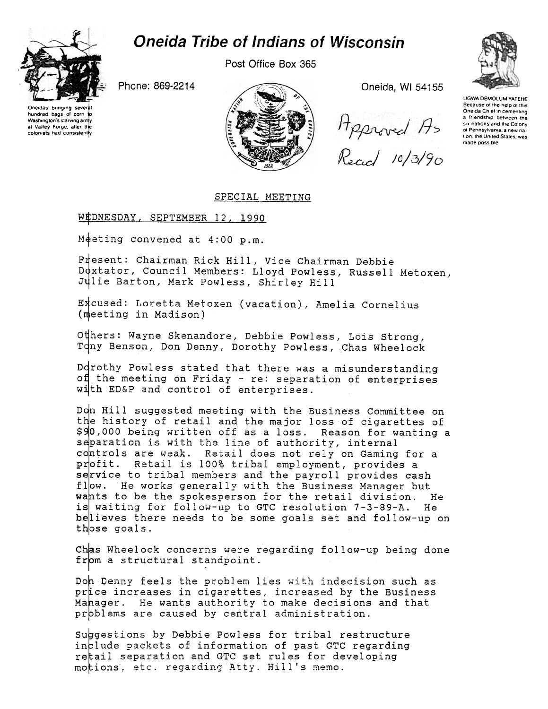

## **Oneida Tribe of Indians of Wisconsin**

Post Office Box 365

Phone: 869-2214





Oneida, WI 54155

Hpproved As<br>Recicl 10/3/90



**UGWA DEMOLUM YATEHE** Because of the help of this Oneida Chief in cementing a friendship between the six nations and the Colony or Pennsylvania, a new nation, the United States, was made possible

## SPECIAL MEETING

## WEDNESDAY, SEPTEMBER 12, 1990

Meeting convened at  $4:00$  p.m.

Present: Chairman Rick Hill, Vice Chairman Debbie Doxtator, Council Members: Lloyd Powless, Russell Metoxen, Julie Barton, Mark Powless, Shirley Hill

Excused: Loretta Metoxen (vacation), Amelia Cornelius (meeting in Madison)

Others: Wayne Skenandore, Debbie Powless, Lois Strong, Tony Benson, Don Denny, Dorothy Powless, Chas Wheelock

Dorothy Powless stated that there was a misunderstanding of the meeting on Friday - re: separation of enterprises with ED&P and control of enterprises.

Don Hill suggested meeting with the Business Committee on the history of retail and the major loss of cigarettes of \$90,000 being written off as a loss. Reason for wanting a separation is with the line of authority, internal controls are weak. Retail does not rely on Gaming for a profit. Retail is 100% tribal employment, provides a service to tribal members and the payroll provides cash flow. He works generally with the Business Manager but wants to be the spokesperson for the retail division. He is waiting for follow-up to GTC resolution 7-3-89-A. He believes there needs to be some goals set and follow-up on those goals.

Chas Wheelock concerns were regarding follow-up being done from a structural standpoint.

Don Denny feels the problem lies with indecision such as price increases in cigarettes, increased by the Business Mahager. He wants authority to make decisions and that problems are caused by central administration.

Suggestions by Debbie Powless for tribal restructure include packets of information of past GTC regarding retail separation and GTC set rules for developing motions, etc. regarding Atty. Hill's memo.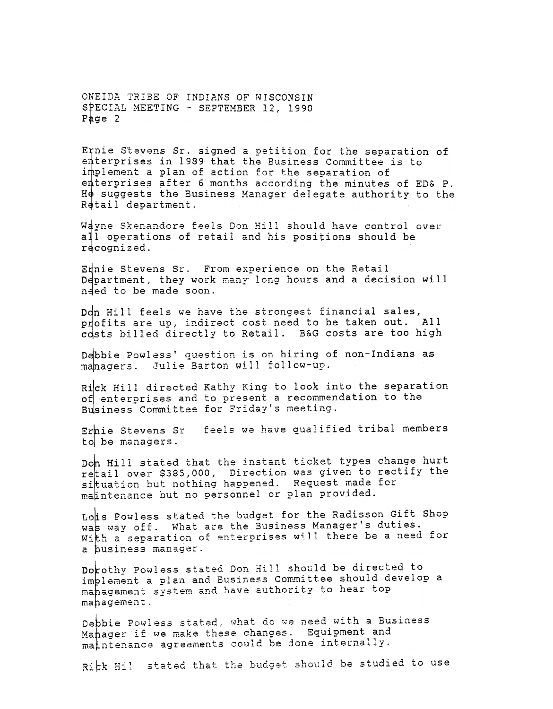ONEIDA TRIBE OF INDIANS OF WISCONSIN SPECIAL MEETING - SEPTEMBER 12, 1990 Page  $2$ 

Etnie Stevens Sr. signed a petition for the separation of enterprises in 1989 that the Business Committee is to implement a plan of action for the separation of enterprises after 6 months according the minutes of ED& P. He suggests the Business Manager delegate authority to the Retail department.

Wayne Skenandore feels Don Hill should have control over all operations of retail and his positions should be recognized.

Ennie Stevens Sr. From experience on the Retail Department, they work many long hours and a decision will need to be made soon.

Don Hill feels we have the strongest financial sales, profits are up, indirect cost need to be taken out. All costs billed directly to Retail. B&G costs are too high

Debbie Powless' question is on hiring of non-Indians as managers. Julie Barton will follow-up.

Rick Hill directed Kathy King to look into the separation of enterprises and to present a recommendation to the Business Committee for Friday's meeting.

feels we have qualified tribal members Erhie Stevens Sr to be managers.

Doh Hill stated that the instant ticket types change hurt retail over \$385,000, Direction was given to rectify the situation but nothing happened. Request made for matintenance but no personnel or plan provided.

Lois Powless stated the budget for the Radisson Gift Shop was way off. What are the Business Manager's duties. With a separation of enterprises will there be a need for a business manager.

Dorothy Powless stated Don Hill should be directed to implement a plan and Business Committee should develop a mahagement system and have authority to hear top mahagement.

Depbie Powless stated, what do we need with a Business Mahager if we make these changes. Equipment and matntenance agreements could be done internally.

Rick Hil stated that the budget should be studied to use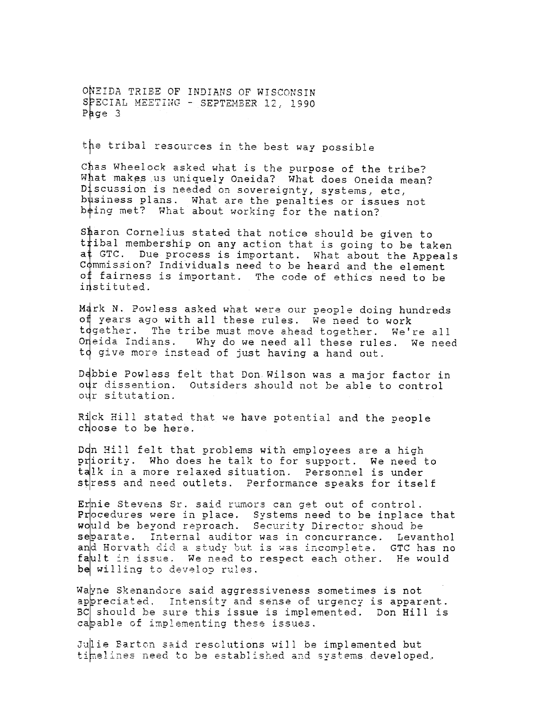ONEIDA TRIBE OF INDIANS OF WISCONSIN SPECIAL MEETING - SEPTEMBER 12, 1990 Page  $3$ 

the tribal resources in the best way possible

Chas Wheelock asked what is the purpose of the tribe? What makes us uniquely Oneida? What does Oneida mean? Discussion is needed on sovereignty, systems, etc, business plans. What are the penalties or issues not being met? What about working for the nation?

Sharon Cornelius stated that notice should be given to tibal membership on any action that is going to be taken at GTC. Due process is important. What about the Appeals Commission? Individuals need to be heard and the element of fairness is important. The code of ethics need to be instituted.

Mark N. Powless asked what were our people doing hundreds of years ago with all these rules. We need to work tdgether. The tribe must move ahead together. We're all Oneida Indians. Why do we need all these rules. We need to give more instead of just having a hand out.

Debbie Powless felt that Don Wilson was a major factor in our dissention. Outsiders should not be able to control our situtation.

Rick Hill stated that we have potential and the people choose to be here.

Don Hill felt that problems with employees are a high priority. Who does he talk to for support. We need to talk in a more relaxed situation. Personnel is under stress and need outlets. Performance speaks for itself

Ernie Stevens Sr. said rumors can get out of control. Procedures were in place. Systems need to be inplace that would be beyond reproach. Security Director shoud be separate. Internal auditor was in concurrance. Levanthol and Horvath did a study but is was incomplete. GTC has no fault in issue. We need to respect each other. He would be willing to develop rules.

Wayne Skenandore said aggressiveness sometimes is not appreciated. Intensity and sense of urgency is apparent. BC should be sure this issue is implemented. Don Hill is capable of implementing these issues.

Julie Barton said resolutions will be implemented but timelines need to be established and systems developed.